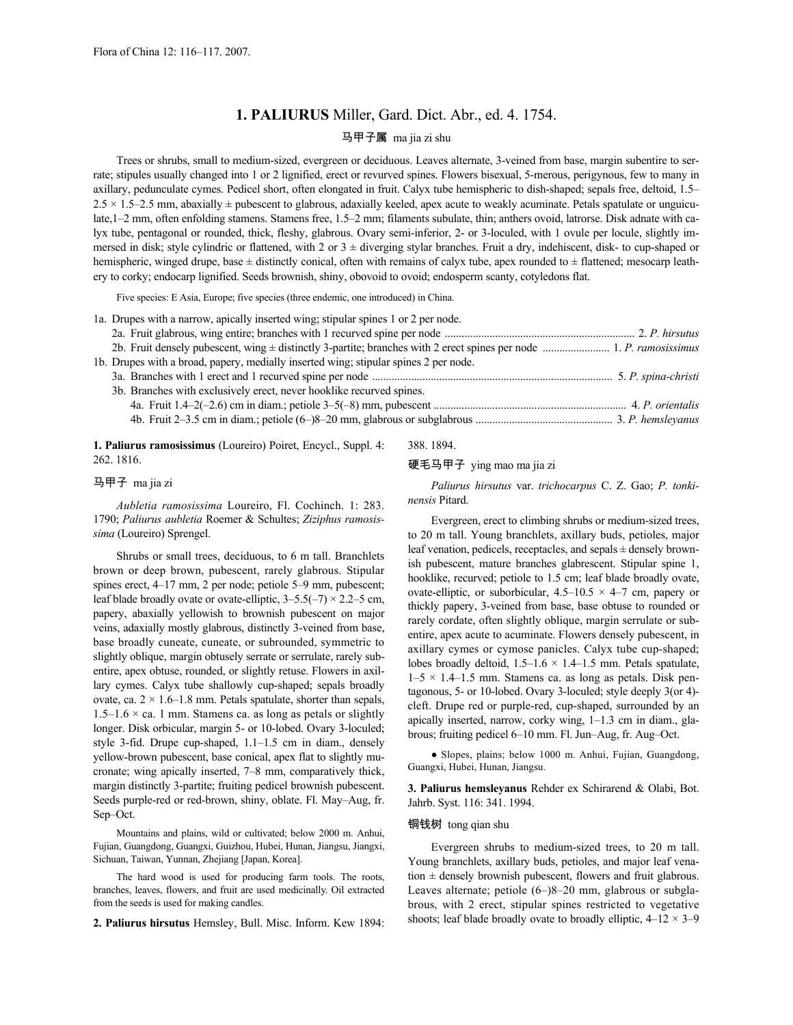## **1. PALIURUS** Miller, Gard. Dict. Abr., ed. 4. 1754.

# 马甲子属 ma jia zi shu

Trees or shrubs, small to medium-sized, evergreen or deciduous. Leaves alternate, 3-veined from base, margin subentire to serrate; stipules usually changed into 1 or 2 lignified, erect or revurved spines. Flowers bisexual, 5-merous, perigynous, few to many in axillary, pedunculate cymes. Pedicel short, often elongated in fruit. Calyx tube hemispheric to dish-shaped; sepals free, deltoid, 1.5–  $2.5 \times 1.5$  mm, abaxially  $\pm$  pubescent to glabrous, adaxially keeled, apex acute to weakly acuminate. Petals spatulate or unguiculate,1–2 mm, often enfolding stamens. Stamens free, 1.5–2 mm; filaments subulate, thin; anthers ovoid, latrorse. Disk adnate with calyx tube, pentagonal or rounded, thick, fleshy, glabrous. Ovary semi-inferior, 2- or 3-loculed, with 1 ovule per locule, slightly immersed in disk; style cylindric or flattened, with 2 or  $3 \pm$  diverging stylar branches. Fruit a dry, indehiscent, disk- to cup-shaped or hemispheric, winged drupe, base ± distinctly conical, often with remains of calyx tube, apex rounded to ± flattened; mesocarp leathery to corky; endocarp lignified. Seeds brownish, shiny, obovoid to ovoid; endosperm scanty, cotyledons flat.

Five species: E Asia, Europe; five species (three endemic, one introduced) in China.

**1. Paliurus ramosissimus** (Loureiro) Poiret, Encycl., Suppl. 4: 262. 1816.

## 马甲子 ma jia zi

*Aubletia ramosissima* Loureiro, Fl. Cochinch. 1: 283. 1790; *Paliurus aubletia* Roemer & Schultes; *Ziziphus ramosissima* (Loureiro) Sprengel.

Shrubs or small trees, deciduous, to 6 m tall. Branchlets brown or deep brown, pubescent, rarely glabrous. Stipular spines erect, 4–17 mm, 2 per node; petiole 5–9 mm, pubescent; leaf blade broadly ovate or ovate-elliptic,  $3-5.5(-7) \times 2.2-5$  cm, papery, abaxially yellowish to brownish pubescent on major veins, adaxially mostly glabrous, distinctly 3-veined from base, base broadly cuneate, cuneate, or subrounded, symmetric to slightly oblique, margin obtusely serrate or serrulate, rarely subentire, apex obtuse, rounded, or slightly retuse. Flowers in axillary cymes. Calyx tube shallowly cup-shaped; sepals broadly ovate, ca.  $2 \times 1.6$ –1.8 mm. Petals spatulate, shorter than sepals,  $1.5-1.6 \times$  ca. 1 mm. Stamens ca. as long as petals or slightly longer. Disk orbicular, margin 5- or 10-lobed. Ovary 3-loculed; style 3-fid. Drupe cup-shaped, 1.1–1.5 cm in diam., densely yellow-brown pubescent, base conical, apex flat to slightly mucronate; wing apically inserted, 7–8 mm, comparatively thick, margin distinctly 3-partite; fruiting pedicel brownish pubescent. Seeds purple-red or red-brown, shiny, oblate. Fl. May–Aug, fr. Sep–Oct.

Mountains and plains, wild or cultivated; below 2000 m. Anhui, Fujian, Guangdong, Guangxi, Guizhou, Hubei, Hunan, Jiangsu, Jiangxi, Sichuan, Taiwan, Yunnan, Zhejiang [Japan, Korea].

The hard wood is used for producing farm tools. The roots, branches, leaves, flowers, and fruit are used medicinally. Oil extracted from the seeds is used for making candles.

**2. Paliurus hirsutus** Hemsley, Bull. Misc. Inform. Kew 1894:

388. 1894.

#### 硬毛马甲子 ying mao ma jia zi

*Paliurus hirsutus* var. *trichocarpus* C. Z. Gao; *P. tonkinensis* Pitard.

Evergreen, erect to climbing shrubs or medium-sized trees, to 20 m tall. Young branchlets, axillary buds, petioles, major leaf venation, pedicels, receptacles, and sepals ± densely brownish pubescent, mature branches glabrescent. Stipular spine 1, hooklike, recurved; petiole to 1.5 cm; leaf blade broadly ovate, ovate-elliptic, or suborbicular,  $4.5-10.5 \times 4-7$  cm, papery or thickly papery, 3-veined from base, base obtuse to rounded or rarely cordate, often slightly oblique, margin serrulate or subentire, apex acute to acuminate. Flowers densely pubescent, in axillary cymes or cymose panicles. Calyx tube cup-shaped; lobes broadly deltoid,  $1.5-1.6 \times 1.4-1.5$  mm. Petals spatulate,  $1-5 \times 1.4-1.5$  mm. Stamens ca. as long as petals. Disk pentagonous, 5- or 10-lobed. Ovary 3-loculed; style deeply 3(or 4) cleft. Drupe red or purple-red, cup-shaped, surrounded by an apically inserted, narrow, corky wing, 1–1.3 cm in diam., glabrous; fruiting pedicel 6–10 mm. Fl. Jun–Aug, fr. Aug–Oct.

● Slopes, plains; below 1000 m. Anhui, Fujian, Guangdong, Guangxi, Hubei, Hunan, Jiangsu.

**3. Paliurus hemsleyanus** Rehder ex Schirarend & Olabi, Bot. Jahrb. Syst. 116: 341. 1994.

### 铜钱树 tong qian shu

Evergreen shrubs to medium-sized trees, to 20 m tall. Young branchlets, axillary buds, petioles, and major leaf venation  $\pm$  densely brownish pubescent, flowers and fruit glabrous. Leaves alternate; petiole (6–)8–20 mm, glabrous or subglabrous, with 2 erect, stipular spines restricted to vegetative shoots; leaf blade broadly ovate to broadly elliptic,  $4-12 \times 3-9$